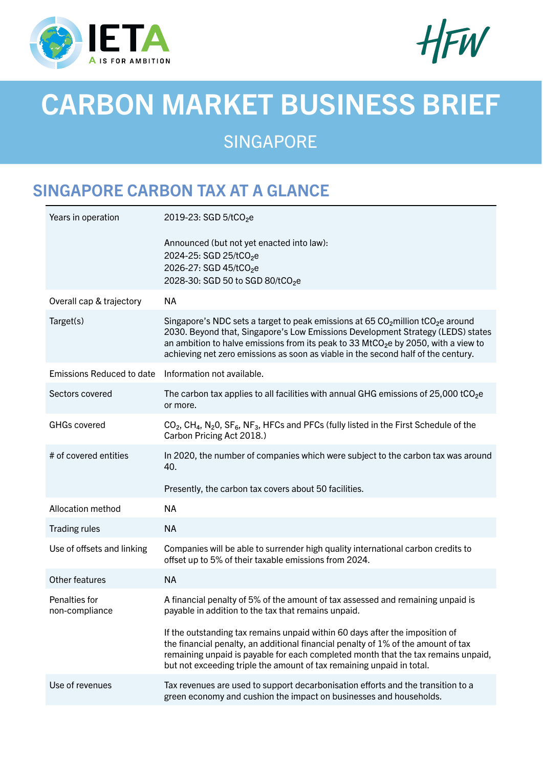



# CARBON MARKET BUSINESS BRIEF

SINGAPORE

# SINGAPORE CARBON TAX AT A GLANCE

| Years in operation               | 2019-23: SGD 5/tCO <sub>2</sub> e                                                                                                                                                                                                                                                                                                                                       |
|----------------------------------|-------------------------------------------------------------------------------------------------------------------------------------------------------------------------------------------------------------------------------------------------------------------------------------------------------------------------------------------------------------------------|
|                                  | Announced (but not yet enacted into law):<br>2024-25: SGD 25/tCO <sub>2</sub> e<br>2026-27: SGD 45/tCO <sub>2</sub> e<br>2028-30: SGD 50 to SGD 80/tCO <sub>2</sub> e                                                                                                                                                                                                   |
| Overall cap & trajectory         | <b>NA</b>                                                                                                                                                                                                                                                                                                                                                               |
| Target(s)                        | Singapore's NDC sets a target to peak emissions at 65 $CO2$ million tCO <sub>2</sub> e around<br>2030. Beyond that, Singapore's Low Emissions Development Strategy (LEDS) states<br>an ambition to halve emissions from its peak to 33 MtCO <sub>2</sub> e by 2050, with a view to<br>achieving net zero emissions as soon as viable in the second half of the century. |
| <b>Emissions Reduced to date</b> | Information not available.                                                                                                                                                                                                                                                                                                                                              |
| Sectors covered                  | The carbon tax applies to all facilities with annual GHG emissions of 25,000 tCO <sub>2</sub> e<br>or more.                                                                                                                                                                                                                                                             |
| <b>GHGs covered</b>              | $CO2$ , CH <sub>4</sub> , N <sub>2</sub> O, SF <sub>6</sub> , NF <sub>3</sub> , HFCs and PFCs (fully listed in the First Schedule of the<br>Carbon Pricing Act 2018.)                                                                                                                                                                                                   |
| # of covered entities            | In 2020, the number of companies which were subject to the carbon tax was around<br>40.                                                                                                                                                                                                                                                                                 |
|                                  | Presently, the carbon tax covers about 50 facilities.                                                                                                                                                                                                                                                                                                                   |
| Allocation method                | <b>NA</b>                                                                                                                                                                                                                                                                                                                                                               |
| Trading rules                    | <b>NA</b>                                                                                                                                                                                                                                                                                                                                                               |
| Use of offsets and linking       | Companies will be able to surrender high quality international carbon credits to<br>offset up to 5% of their taxable emissions from 2024.                                                                                                                                                                                                                               |
| Other features                   | <b>NA</b>                                                                                                                                                                                                                                                                                                                                                               |
| Penalties for<br>non-compliance  | A financial penalty of 5% of the amount of tax assessed and remaining unpaid is<br>payable in addition to the tax that remains unpaid.                                                                                                                                                                                                                                  |
|                                  | If the outstanding tax remains unpaid within 60 days after the imposition of<br>the financial penalty, an additional financial penalty of 1% of the amount of tax<br>remaining unpaid is payable for each completed month that the tax remains unpaid,<br>but not exceeding triple the amount of tax remaining unpaid in total.                                         |
| Use of revenues                  | Tax revenues are used to support decarbonisation efforts and the transition to a<br>green economy and cushion the impact on businesses and households.                                                                                                                                                                                                                  |